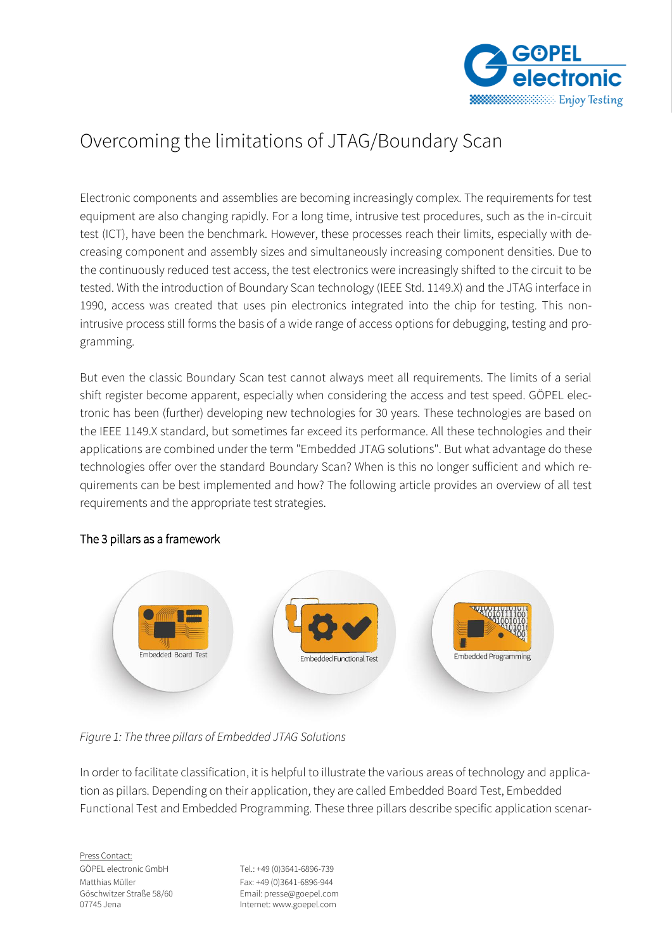

# Overcoming the limitations of JTAG/Boundary Scan

Electronic components and assemblies are becoming increasingly complex. The requirements for test equipment are also changing rapidly. For a long time, intrusive test procedures, such as the in-circuit test (ICT), have been the benchmark. However, these processes reach their limits, especially with decreasing component and assembly sizes and simultaneously increasing component densities. Due to the continuously reduced test access, the test electronics were increasingly shifted to the circuit to be tested. With the introduction of Boundary Scan technology (IEEE Std. 1149.X) and the JTAG interface in 1990, access was created that uses pin electronics integrated into the chip for testing. This nonintrusive process still forms the basis of a wide range of access options for debugging, testing and programming.

But even the classic Boundary Scan test cannot always meet all requirements. The limits of a serial shift register become apparent, especially when considering the access and test speed. GÖPEL electronic has been (further) developing new technologies for 30 years. These technologies are based on the IEEE 1149.X standard, but sometimes far exceed its performance. All these technologies and their applications are combined under the term "Embedded JTAG solutions". But what advantage do these technologies offer over the standard Boundary Scan? When is this no longer sufficient and which requirements can be best implemented and how? The following article provides an overview of all test requirements and the appropriate test strategies.



## The 3 pillars as a framework

## *Figure 1: The three pillars of Embedded JTAG Solutions*

In order to facilitate classification, it is helpful to illustrate the various areas of technology and application as pillars. Depending on their application, they are called Embedded Board Test, Embedded Functional Test and Embedded Programming. These three pillars describe specific application scenar-

Press Contact: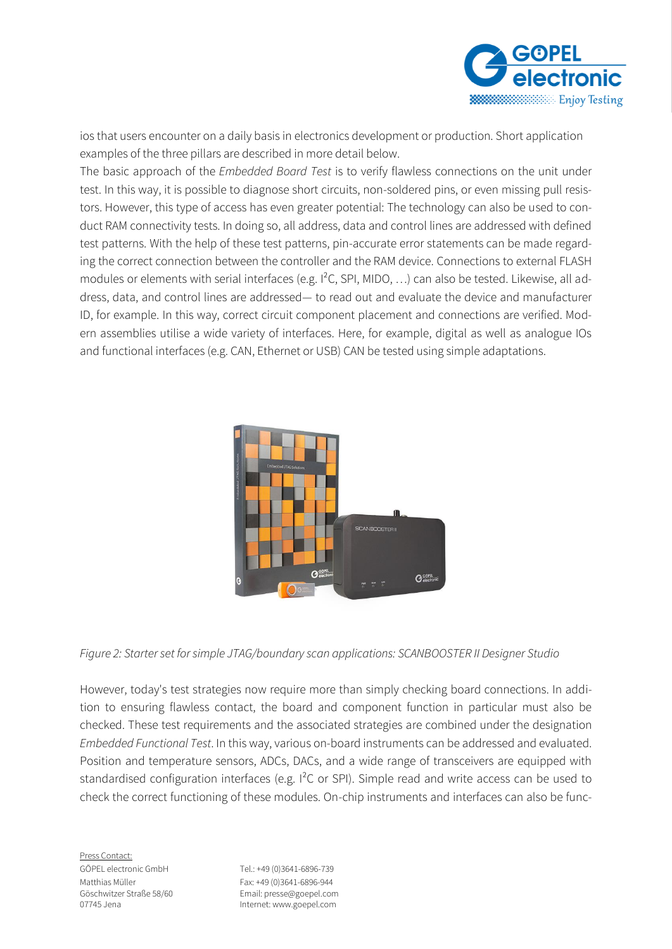

ios that users encounter on a daily basis in electronics development or production. Short application examples of the three pillars are described in more detail below.

The basic approach of the *Embedded Board Test* is to verify flawless connections on the unit under test. In this way, it is possible to diagnose short circuits, non-soldered pins, or even missing pull resistors. However, this type of access has even greater potential: The technology can also be used to conduct RAM connectivity tests. In doing so, all address, data and control lines are addressed with defined test patterns. With the help of these test patterns, pin-accurate error statements can be made regarding the correct connection between the controller and the RAM device. Connections to external FLASH modules or elements with serial interfaces (e.g. I²C, SPI, MIDO, …) can also be tested. Likewise, all address, data, and control lines are addressed— to read out and evaluate the device and manufacturer ID, for example. In this way, correct circuit component placement and connections are verified. Modern assemblies utilise a wide variety of interfaces. Here, for example, digital as well as analogue IOs and functional interfaces (e.g. CAN, Ethernet or USB) CAN be tested using simple adaptations.



#### *Figure 2: Starter set for simple JTAG/boundary scan applications: SCANBOOSTER II Designer Studio*

However, today's test strategies now require more than simply checking board connections. In addition to ensuring flawless contact, the board and component function in particular must also be checked. These test requirements and the associated strategies are combined under the designation *Embedded Functional Test*. In this way, various on-board instruments can be addressed and evaluated. Position and temperature sensors, ADCs, DACs, and a wide range of transceivers are equipped with standardised configuration interfaces (e.g. I<sup>2</sup>C or SPI). Simple read and write access can be used to check the correct functioning of these modules. On-chip instruments and interfaces can also be func-

Press Contact: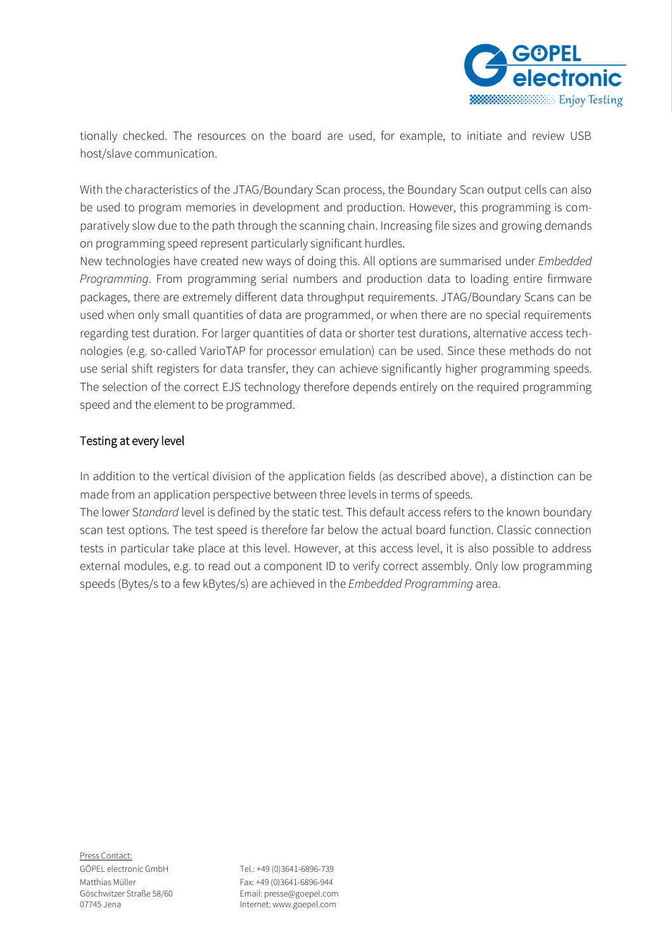

tionally checked. The resources on the board are used, for example, to initiate and review USB host/slave communication.

With the characteristics of the JTAG/Boundary Scan process, the Boundary Scan output cells can also be used to program memories in development and production. However, this programming is comparatively slow due to the path through the scanning chain. Increasing file sizes and growing demands on programming speed represent particularly significant hurdles.

New technologies have created new ways of doing this. All options are summarised under *Embedded Programming*. From programming serial numbers and production data to loading entire firmware packages, there are extremely different data throughput requirements. JTAG/Boundary Scans can be used when only small quantities of data are programmed, or when there are no special requirements regarding test duration. For larger quantities of data or shorter test durations, alternative access technologies (e.g. so-called VarioTAP for processor emulation) can be used. Since these methods do not use serial shift registers for data transfer, they can achieve significantly higher programming speeds. The selection of the correct EJS technology therefore depends entirely on the required programming speed and the element to be programmed.

#### Testing at every level

In addition to the vertical division of the application fields (as described above), a distinction can be made from an application perspective between three levels in terms of speeds.

The lower S*tandard* level is defined by the static test. This default access refers to the known boundary scan test options. The test speed is therefore far below the actual board function. Classic connection tests in particular take place at this level. However, at this access level, it is also possible to address external modules, e.g. to read out a component ID to verify correct assembly. Only low programming speeds (Bytes/s to a few kBytes/s) are achieved in the *Embedded Programming* area.

Press Contact: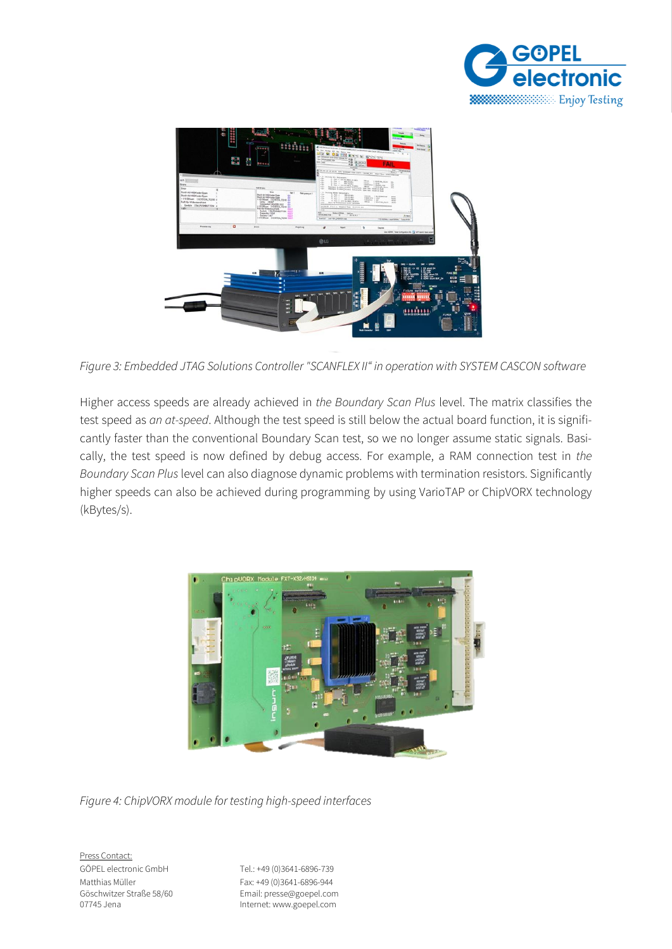



*Figure 3: Embedded JTAG Solutions Controller "SCANFLEX II" in operation with SYSTEM CASCON software*

Higher access speeds are already achieved in *the Boundary Scan Plus* level. The matrix classifies the test speed as *an at-speed*. Although the test speed is still below the actual board function, it is significantly faster than the conventional Boundary Scan test, so we no longer assume static signals. Basically, the test speed is now defined by debug access. For example, a RAM connection test in *the Boundary Scan Plus* level can also diagnose dynamic problems with termination resistors. Significantly higher speeds can also be achieved during programming by using VarioTAP or ChipVORX technology (kBytes/s).



*Figure 4: ChipVORX module for testing high-speed interfaces*

Press Contact: GÖPEL electronic GmbH Tel.: +49 (0)3641-6896-739

Matthias Müller Fax: +49 (0)3641-6896-944 Göschwitzer Straße 58/60 Email: presse@goepel.com Internet: www.goepel.com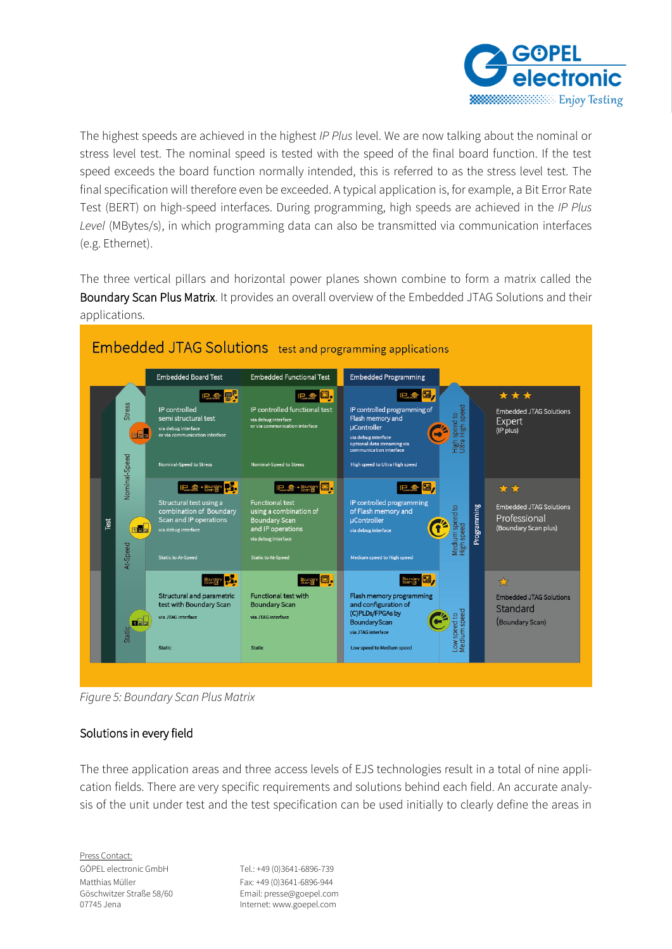

The highest speeds are achieved in the highest *IP Plus* level. We are now talking about the nominal or stress level test. The nominal speed is tested with the speed of the final board function. If the test speed exceeds the board function normally intended, this is referred to as the stress level test. The final specification will therefore even be exceeded. A typical application is, for example, a Bit Error Rate Test (BERT) on high-speed interfaces. During programming, high speeds are achieved in the *IP Plus Level* (MBytes/s), in which programming data can also be transmitted via communication interfaces (e.g. Ethernet).

The three vertical pillars and horizontal power planes shown combine to form a matrix called the Boundary Scan Plus Matrix. It provides an overall overview of the Embedded JTAG Solutions and their applications.



*Figure 5: Boundary Scan Plus Matrix*

#### Solutions in every field

The three application areas and three access levels of EJS technologies result in a total of nine application fields. There are very specific requirements and solutions behind each field. An accurate analysis of the unit under test and the test specification can be used initially to clearly define the areas in

Press Contact: